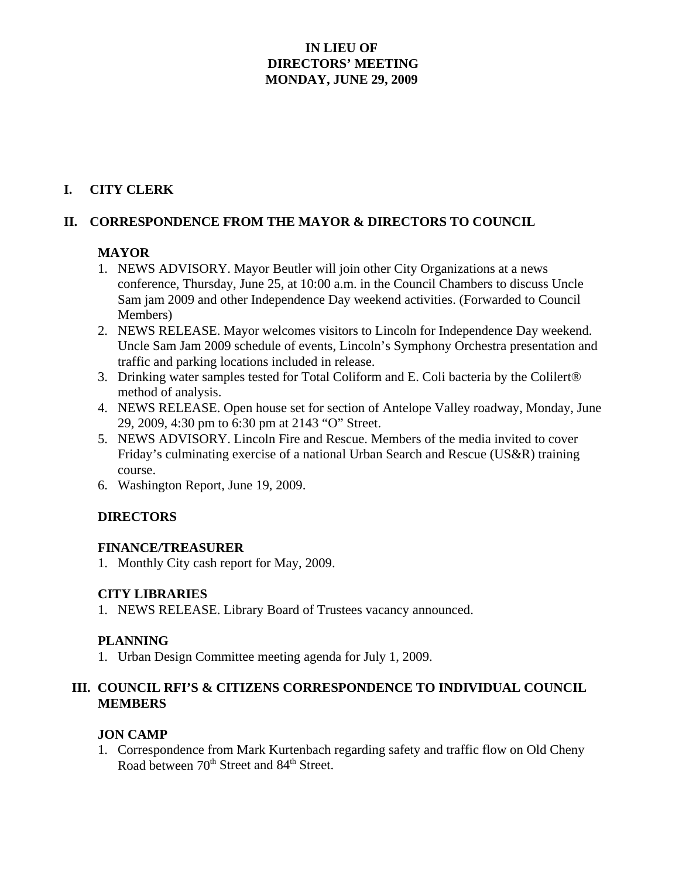## **IN LIEU OF DIRECTORS' MEETING MONDAY, JUNE 29, 2009**

# **I. CITY CLERK**

#### **II. CORRESPONDENCE FROM THE MAYOR & DIRECTORS TO COUNCIL**

#### **MAYOR**

- 1. NEWS ADVISORY. Mayor Beutler will join other City Organizations at a news conference, Thursday, June 25, at 10:00 a.m. in the Council Chambers to discuss Uncle Sam jam 2009 and other Independence Day weekend activities. (Forwarded to Council Members)
- 2. NEWS RELEASE. Mayor welcomes visitors to Lincoln for Independence Day weekend. Uncle Sam Jam 2009 schedule of events, Lincoln's Symphony Orchestra presentation and traffic and parking locations included in release.
- 3. Drinking water samples tested for Total Coliform and E. Coli bacteria by the Colilert® method of analysis.
- 4. NEWS RELEASE. Open house set for section of Antelope Valley roadway, Monday, June 29, 2009, 4:30 pm to 6:30 pm at 2143 "O" Street.
- 5. NEWS ADVISORY. Lincoln Fire and Rescue. Members of the media invited to cover Friday's culminating exercise of a national Urban Search and Rescue (US&R) training course.
- 6. Washington Report, June 19, 2009.

#### **DIRECTORS**

#### **FINANCE/TREASURER**

1. Monthly City cash report for May, 2009.

#### **CITY LIBRARIES**

1. NEWS RELEASE. Library Board of Trustees vacancy announced.

#### **PLANNING**

1. Urban Design Committee meeting agenda for July 1, 2009.

## **III. COUNCIL RFI'S & CITIZENS CORRESPONDENCE TO INDIVIDUAL COUNCIL MEMBERS**

#### **JON CAMP**

1. Correspondence from Mark Kurtenbach regarding safety and traffic flow on Old Cheny Road between 70<sup>th</sup> Street and 84<sup>th</sup> Street.